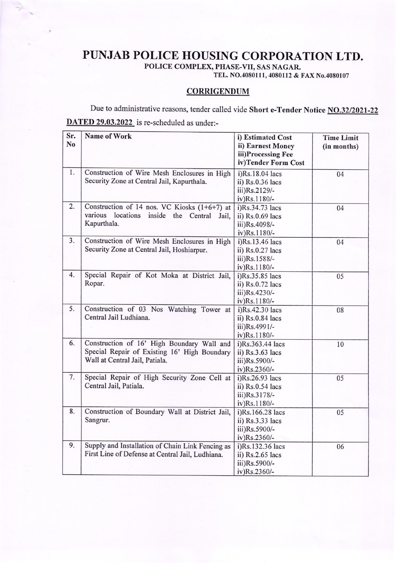## PUNJAB POLICE HOUSING CORPORATION LTD.

POLICE COMPLEX, PHASE-VII, SAS NAGAR.

TEL. NO.4080111,4080t12 & FAx No.4080107

## **CORRIGENDUM**

Due to administrative reasons, tender called vide Short e-Tender Notice NO.32/2021-22 DATED 29.03.2022 is re-scheduled as under:-

| Sr. | <b>Name of Work</b>                                    | i) Estimated Cost   | <b>Time Limit</b> |
|-----|--------------------------------------------------------|---------------------|-------------------|
| No  |                                                        | ii) Earnest Money   | (in months)       |
|     |                                                        | iii)Processing Fee  |                   |
|     |                                                        | iv)Tender Form Cost |                   |
| 1.  | Construction of Wire Mesh Enclosures in High           | i)Rs.18.04 lacs     | 04                |
|     | Security Zone at Central Jail, Kapurthala.             | ii) Rs.0.36 lacs    |                   |
|     |                                                        | iii)Rs.2129/-       |                   |
|     |                                                        | iv)Rs.1180/-        |                   |
| 2.  | Construction of 14 nos. VC Kiosks $(1+6+7)$ at         | i)Rs.34.73 lacs     | 04                |
|     | various<br>locations<br>inside<br>the<br>Central Jail, | ii) Rs.0.69 lacs    |                   |
|     | Kapurthala.                                            | iii)Rs.4098/-       |                   |
|     |                                                        | iv)Rs.1180/-        |                   |
| 3.  | Construction of Wire Mesh Enclosures in High           | i)Rs.13.46 lacs     | 04                |
|     | Security Zone at Central Jail, Hoshiarpur.             | ii) $Rs.0.27$ lacs  |                   |
|     |                                                        | iii)Rs.1588/-       |                   |
|     |                                                        | iv)Rs.1180/-        |                   |
| 4.  | Special Repair of Kot Moka at District Jail,           | i)Rs.35.85 lacs     | 05                |
|     | Ropar.                                                 | ii) $Rs.0.72$ lacs  |                   |
|     |                                                        | iii)Rs.4230/-       |                   |
|     |                                                        | iv)Rs.1180/-        |                   |
| 5.  | Construction of 03 Nos Watching Tower at               | i)Rs.42.30 lacs     | 08                |
|     | Central Jail Ludhiana.                                 | ii) Rs.0.84 lacs    |                   |
|     |                                                        | iii)Rs.4991/-       |                   |
|     |                                                        | iv)Rs.1180/-        |                   |
| 6.  | Construction of 16' High Boundary Wall and             | i)Rs.363.44 lacs    | 10                |
|     | Special Repair of Existing 16' High Boundary           | ii) Rs.3.63 lacs    |                   |
|     | Wall at Central Jail, Patiala.                         | iii)Rs.5900/-       |                   |
|     |                                                        | iv)Rs.2360/-        |                   |
| 7.  | Special Repair of High Security Zone Cell at           | i)Rs.26.93 lacs     | 05                |
|     | Central Jail, Patiala.                                 | ii) $Rs.0.54$ lacs  |                   |
|     |                                                        | iii)Rs.3178/-       |                   |
|     |                                                        | iv)Rs.1180/-        |                   |
| 8.  | Construction of Boundary Wall at District Jail,        | i)Rs.166.28 lacs    | 05                |
|     | Sangrur.                                               | ii) Rs.3.33 lacs    |                   |
|     |                                                        | iii)Rs.5900/-       |                   |
|     |                                                        | iv)Rs.2360/-        |                   |
| 9.  | Supply and Installation of Chain Link Fencing as       | i)Rs.132.36 lacs    | 06                |
|     | First Line of Defense at Central Jail, Ludhiana.       | ii) Rs.2.65 lacs    |                   |
|     |                                                        | iii)Rs.5900/-       |                   |
|     |                                                        | iv)Rs.2360/-        |                   |